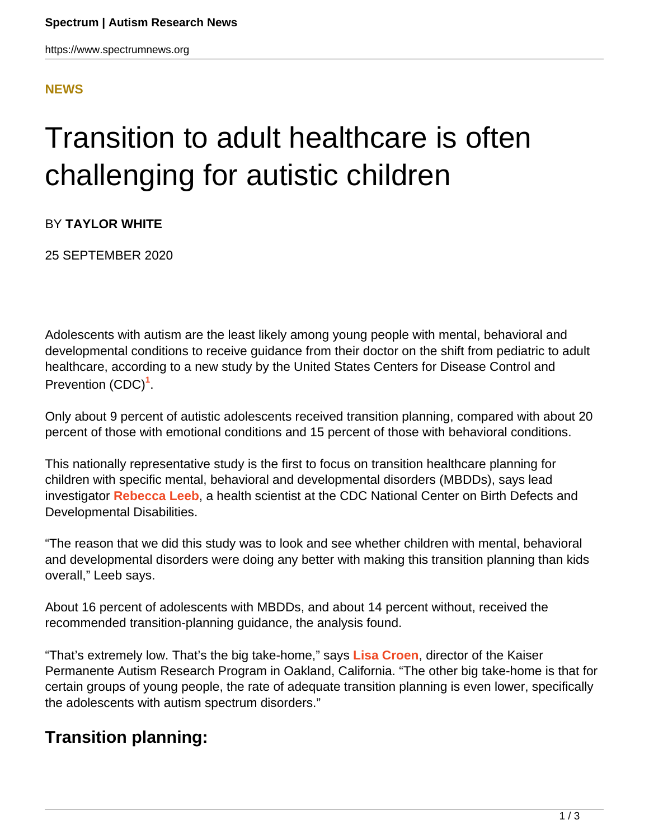#### **[NEWS](HTTPS://WWW.SPECTRUMNEWS.ORG/NEWS/)**

# Transition to adult healthcare is often challenging for autistic children

BY **TAYLOR WHITE**

25 SEPTEMBER 2020

Adolescents with autism are the least likely among young people with mental, behavioral and developmental conditions to receive guidance from their doctor on the shift from pediatric to adult healthcare, according to a new study by the United States Centers for Disease Control and Prevention (CDC)**<sup>1</sup>** .

Only about 9 percent of autistic adolescents received transition planning, compared with about 20 percent of those with emotional conditions and 15 percent of those with behavioral conditions.

This nationally representative study is the first to focus on transition healthcare planning for children with specific mental, behavioral and developmental disorders (MBDDs), says lead investigator **[Rebecca Leeb](https://www.researchgate.net/profile/Rebecca_Leeb)**, a health scientist at the CDC National Center on Birth Defects and Developmental Disabilities.

"The reason that we did this study was to look and see whether children with mental, behavioral and developmental disorders were doing any better with making this transition planning than kids overall," Leeb says.

About 16 percent of adolescents with MBDDs, and about 14 percent without, received the recommended transition-planning guidance, the analysis found.

"That's extremely low. That's the big take-home," says **[Lisa Croen](https://divisionofresearch.kaiserpermanente.org/researchers/croen-lisa)**, director of the Kaiser Permanente Autism Research Program in Oakland, California. "The other big take-home is that for certain groups of young people, the rate of adequate transition planning is even lower, specifically the adolescents with autism spectrum disorders."

### **Transition planning:**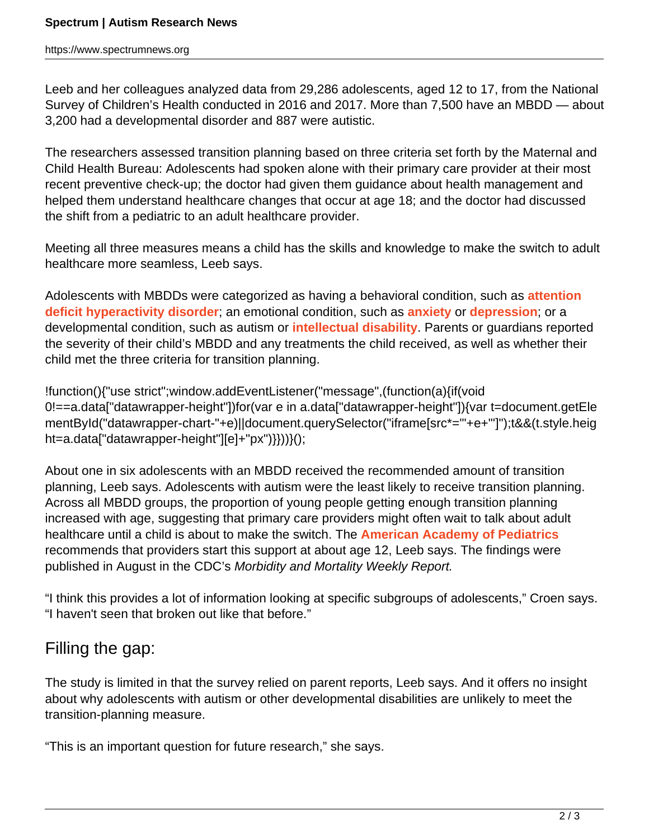Leeb and her colleagues analyzed data from 29,286 adolescents, aged 12 to 17, from the National Survey of Children's Health conducted in 2016 and 2017. More than 7,500 have an MBDD — about 3,200 had a developmental disorder and 887 were autistic.

The researchers assessed transition planning based on three criteria set forth by the Maternal and Child Health Bureau: Adolescents had spoken alone with their primary care provider at their most recent preventive check-up; the doctor had given them guidance about health management and helped them understand healthcare changes that occur at age 18; and the doctor had discussed the shift from a pediatric to an adult healthcare provider.

Meeting all three measures means a child has the skills and knowledge to make the switch to adult healthcare more seamless, Leeb says.

Adolescents with MBDDs were categorized as having a behavioral condition, such as **[attention](https://www.spectrumnews.org/features/deep-dive/decoding-overlap-autism-adhd/) [deficit hyperactivity disorder](https://www.spectrumnews.org/features/deep-dive/decoding-overlap-autism-adhd/)**; an emotional condition, such as **[anxiety](https://www.spectrumnews.org/features/deep-dive/unmasking-anxiety-autism/)** or **[depression](https://www.spectrumnews.org/features/deep-dive/the-deep-emotional-ties-between-depression-and-autism/)**; or a developmental condition, such as autism or **[intellectual disability](https://www.spectrumnews.org/features/deep-dive/the-blurred-line-between-autism-and-intellectual-disability/)**. Parents or guardians reported the severity of their child's MBDD and any treatments the child received, as well as whether their child met the three criteria for transition planning.

!function(){"use strict";window.addEventListener("message",(function(a){if(void 0!==a.data["datawrapper-height"])for(var e in a.data["datawrapper-height"]){var t=document.getEle mentById("datawrapper-chart-"+e)||document.querySelector("iframe[src\*='"+e+"']");t&&(t.style.heig ht=a.data["datawrapper-height"][e]+"px")}}))}();

About one in six adolescents with an MBDD received the recommended amount of transition planning, Leeb says. Adolescents with autism were the least likely to receive transition planning. Across all MBDD groups, the proportion of young people getting enough transition planning increased with age, suggesting that primary care providers might often wait to talk about adult healthcare until a child is about to make the switch. The **[American Academy of Pediatrics](https://pediatrics.aappublications.org/content/142/5/e20182587)** recommends that providers start this support at about age 12, Leeb says. The findings were published in August in the CDC's Morbidity and Mortality Weekly Report.

"I think this provides a lot of information looking at specific subgroups of adolescents," Croen says. "I haven't seen that broken out like that before."

## Filling the gap:

The study is limited in that the survey relied on parent reports, Leeb says. And it offers no insight about why adolescents with autism or other developmental disabilities are unlikely to meet the transition-planning measure.

"This is an important question for future research," she says.